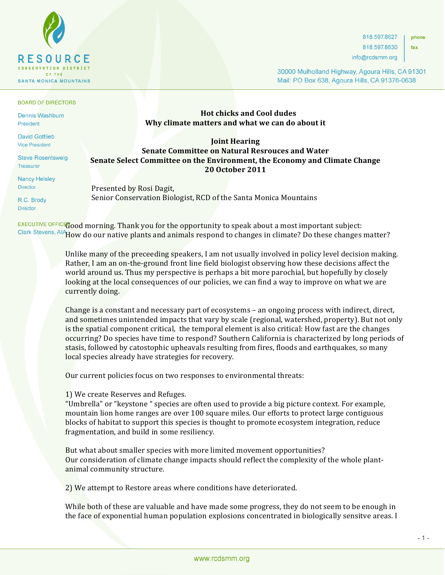

BOARD OF DIRECTORS

**Dennis Washburn** President

**David Gottlieb Vice President** 

**Steve Rosentsweig Treasurer** 

**Nancy Helsley Director** 

R.C. Brody **Director** 

**Hot chicks and Cool dudes Why climate matters and what we can do about it** 

## **Joint Hearing Senate Committee on Natural Resrouces and Water Senate Select Committee on the Environment, the Economy and Climate Change 20 October 2011**

Presented by Rosi Dagit, Senior Conservation Biologist, RCD of the Santa Monica Mountains

 $E X E C U T I V E 0 F F I C E 0$  morning. Thank you for the opportunity to speak about a most important subject: Clark Stevens, AlAHow do our native plants and animals respond to changes in climate? Do these changes matter?

> Unlike many of the preceeding speakers, I am not usually involved in policy level decision making. Rather, I am an on-the-ground front line field biologist observing how these decisions affect the world around us. Thus my perspective is perhaps a bit more parochial, but hopefully by closely looking at the local consequences of our policies, we can find a way to improve on what we are currently doing.

Change is a constant and necessary part of ecosystems  $-$  an ongoing process with indirect, direct, and sometimes unintended impacts that vary by scale (regional, watershed, property). But not only is the spatial component critical, the temporal element is also critical: How fast are the changes occurring? Do species have time to respond? Southern California is characterized by long periods of stasis, followed by catostophic upheavals resulting from fires, floods and earthquakes, so many local species already have strategies for recovery.

Our current policies focus on two responses to environmental threats:

1) We create Reserves and Refuges.

"Umbrella" or "keystone " species are often used to provide a big picture context. For example, mountain lion home ranges are over 100 square miles. Our efforts to protect large contiguous blocks of habitat to support this species is thought to promote ecosystem integration, reduce fragmentation, and build in some resiliency.

But what about smaller species with more limited movement opportunities? Our consideration of climate change impacts should reflect the complexity of the whole plantanimal community structure.

2) We attempt to Restore areas where conditions have deteriorated.

While both of these are valuable and have made some progress, they do not seem to be enough in the face of exponential human population explosions concentrated in biologically sensitye areas. I

818.597.8627 phone

818.597.8630 info@rcdsmm.org fax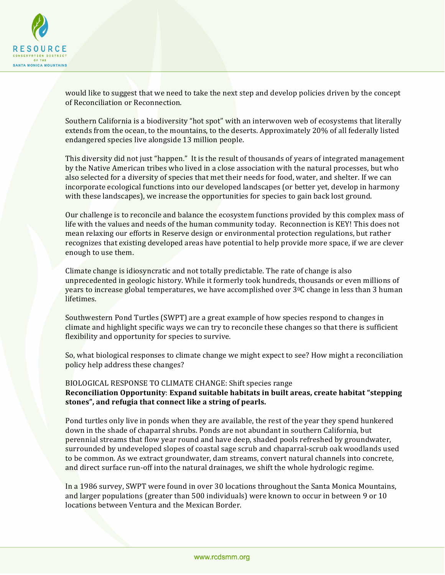

would like to suggest that we need to take the next step and develop policies driven by the concept of Reconciliation or Reconnection.

Southern California is a biodiversity "hot spot" with an interwoven web of ecosystems that literally extends from the ocean, to the mountains, to the deserts. Approximately 20% of all federally listed endangered species live alongside 13 million people.

This diversity did not just "happen." It is the result of thousands of years of integrated management by the Native American tribes who lived in a close association with the natural processes, but who also selected for a diversity of species that met their needs for food, water, and shelter. If we can incorporate ecological functions into our developed landscapes (or better yet, develop in harmony with these landscapes), we increase the opportunities for species to gain back lost ground.

Our challenge is to reconcile and balance the ecosystem functions provided by this complex mass of life with the values and needs of the human community today. Reconnection is KEY! This does not mean relaxing our efforts in Reserve design or environmental protection regulations, but rather recognizes that existing developed areas have potential to help provide more space, if we are clever enough to use them.

Climate change is idiosyncratic and not totally predictable. The rate of change is also unprecedented in geologic history. While it formerly took hundreds, thousands or even millions of years to increase global temperatures, we have accomplished over  $3^0C$  change in less than 3 human lifetimes.

Southwestern Pond Turtles (SWPT) are a great example of how species respond to changes in climate and highlight specific ways we can try to reconcile these changes so that there is sufficient flexibility and opportunity for species to survive.

So, what biological responses to climate change we might expect to see? How might a reconciliation policy help address these changes?

# BIOLOGICAL RESPONSE TO CLIMATE CHANGE: Shift species range **Reconciliation Opportunity: Expand suitable habitats in built areas, create habitat "stepping** stones", and refugia that connect like a string of pearls.

Pond turtles only live in ponds when they are available, the rest of the year they spend hunkered down in the shade of chaparral shrubs. Ponds are not abundant in southern California, but perennial streams that flow year round and have deep, shaded pools refreshed by groundwater, surrounded by undeveloped slopes of coastal sage scrub and chaparral-scrub oak woodlands used to be common. As we extract groundwater, dam streams, convert natural channels into concrete, and direct surface run-off into the natural drainages, we shift the whole hydrologic regime.

In a 1986 survey, SWPT were found in over 30 locations throughout the Santa Monica Mountains, and larger populations (greater than 500 individuals) were known to occur in between 9 or 10 locations between Ventura and the Mexican Border.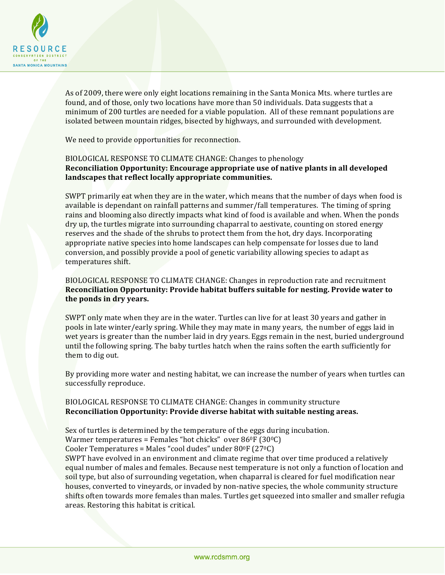

As of 2009, there were only eight locations remaining in the Santa Monica Mts. where turtles are found, and of those, only two locations have more than 50 individuals. Data suggests that a minimum of 200 turtles are needed for a viable population. All of these remnant populations are isolated between mountain ridges, bisected by highways, and surrounded with development.

We need to provide opportunities for reconnection.

## BIOLOGICAL RESPONSE TO CLIMATE CHANGE: Changes to phenology **Reconciliation Opportunity: Encourage appropriate use of native plants in all developed** landscapes that reflect locally appropriate communities.

SWPT primarily eat when they are in the water, which means that the number of days when food is available is dependant on rainfall patterns and summer/fall temperatures. The timing of spring rains and blooming also directly impacts what kind of food is available and when. When the ponds dry up, the turtles migrate into surrounding chaparral to aestivate, counting on stored energy reserves and the shade of the shrubs to protect them from the hot, dry days. Incorporating appropriate native species into home landscapes can help compensate for losses due to land conversion, and possibly provide a pool of genetic variability allowing species to adapt as temperatures shift.

### BIOLOGICAL RESPONSE TO CLIMATE CHANGE: Changes in reproduction rate and recruitment **Reconciliation Opportunity: Provide habitat buffers suitable for nesting. Provide water to** the ponds in dry years.

SWPT only mate when they are in the water. Turtles can live for at least 30 years and gather in pools in late winter/early spring. While they may mate in many years, the number of eggs laid in wet years is greater than the number laid in dry years. Eggs remain in the nest, buried underground until the following spring. The baby turtles hatch when the rains soften the earth sufficiently for them to dig out.

By providing more water and nesting habitat, we can increase the number of years when turtles can successfully reproduce.

## BIOLOGICAL RESPONSE TO CLIMATE CHANGE: Changes in community structure **Reconciliation Opportunity: Provide diverse habitat with suitable nesting areas.**

Sex of turtles is determined by the temperature of the eggs during incubation.

Warmer temperatures = Females "hot chicks" over  $86^{\circ}F(30^{\circ}C)$ 

Cooler Temperatures = Males "cool dudes" under  $80^{\circ}F(27^{\circ}C)$ 

SWPT have evolved in an environment and climate regime that over time produced a relatively equal number of males and females. Because nest temperature is not only a function of location and soil type, but also of surrounding vegetation, when chaparral is cleared for fuel modification near houses, converted to vineyards, or invaded by non-native species, the whole community structure shifts often towards more females than males. Turtles get squeezed into smaller and smaller refugia areas. Restoring this habitat is critical.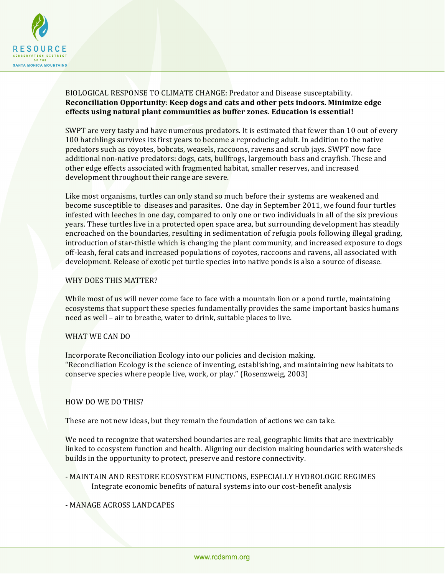

# BIOLOGICAL RESPONSE TO CLIMATE CHANGE: Predator and Disease susceptability. **Reconciliation Opportunity: Keep dogs and cats and other pets indoors. Minimize edge** effects using natural plant communities as buffer zones. Education is essential!

SWPT are very tasty and have numerous predators. It is estimated that fewer than 10 out of every 100 hatchlings survives its first years to become a reproducing adult. In addition to the native predators such as coyotes, bobcats, weasels, raccoons, ravens and scrub jays. SWPT now face additional non-native predators: dogs, cats, bullfrogs, largemouth bass and crayfish. These and other edge effects associated with fragmented habitat, smaller reserves, and increased development throughout their range are severe.

Like most organisms, turtles can only stand so much before their systems are weakened and become susceptible to diseases and parasites. One day in September 2011, we found four turtles infested with leeches in one day, compared to only one or two individuals in all of the six previous years. These turtles live in a protected open space area, but surrounding development has steadily encroached on the boundaries, resulting in sedimentation of refugia pools following illegal grading, introduction of star-thistle which is changing the plant community, and increased exposure to dogs off-leash, feral cats and increased populations of coyotes, raccoons and ravens, all associated with development. Release of exotic pet turtle species into native ponds is also a source of disease.

#### WHY DOES THIS MATTER?

While most of us will never come face to face with a mountain lion or a pond turtle, maintaining ecosystems that support these species fundamentally provides the same important basics humans need as well – air to breathe, water to drink, suitable places to live.

### WHAT WE CAN DO

Incorporate Reconciliation Ecology into our policies and decision making. "Reconciliation Ecology is the science of inventing, establishing, and maintaining new habitats to conserve species where people live, work, or play." (Rosenzweig, 2003)

#### HOW DO WE DO THIS?

These are not new ideas, but they remain the foundation of actions we can take.

We need to recognize that watershed boundaries are real, geographic limits that are inextricably linked to ecosystem function and health. Aligning our decision making boundaries with watersheds builds in the opportunity to protect, preserve and restore connectivity.

- MAINTAIN AND RESTORE ECOSYSTEM FUNCTIONS, ESPECIALLY HYDROLOGIC REGIMES Integrate economic benefits of natural systems into our cost-benefit analysis

### - MANAGE ACROSS LANDCAPES